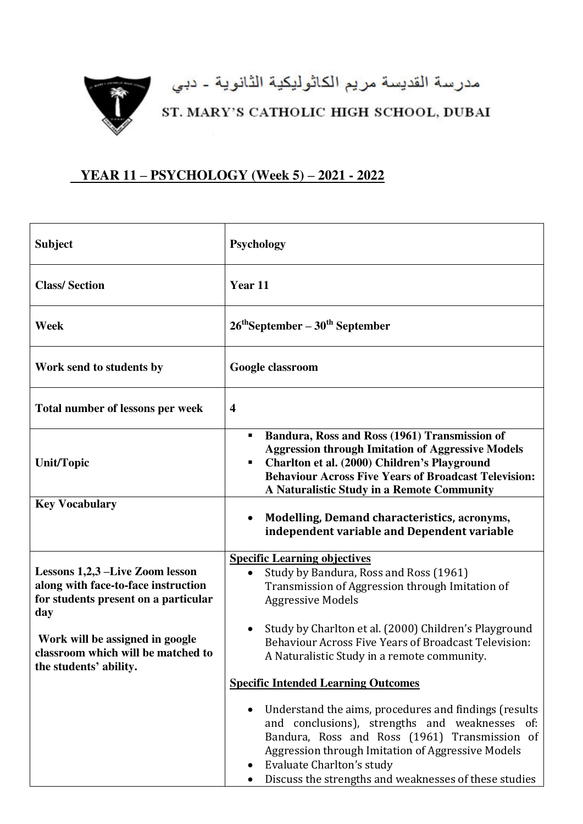

مدرسة القديسة مريم الكاثوليكية الثانوية - دبي<br>ST. MARY'S CATHOLIC HIGH SCHOOL, DUBAI

## **YEAR 11 – PSYCHOLOGY (Week 5) – 2021 - 2022**

| <b>Subject</b>                                                                                                                                                                                                           | Psychology                                                                                                                                                                                                                                                                                                                                        |
|--------------------------------------------------------------------------------------------------------------------------------------------------------------------------------------------------------------------------|---------------------------------------------------------------------------------------------------------------------------------------------------------------------------------------------------------------------------------------------------------------------------------------------------------------------------------------------------|
| <b>Class/Section</b>                                                                                                                                                                                                     | Year 11                                                                                                                                                                                                                                                                                                                                           |
| Week                                                                                                                                                                                                                     | $26^{\text{th}}$ September – $30^{\text{th}}$ September                                                                                                                                                                                                                                                                                           |
| Work send to students by                                                                                                                                                                                                 | Google classroom                                                                                                                                                                                                                                                                                                                                  |
| Total number of lessons per week                                                                                                                                                                                         | $\overline{\mathbf{4}}$                                                                                                                                                                                                                                                                                                                           |
| <b>Unit/Topic</b>                                                                                                                                                                                                        | Bandura, Ross and Ross (1961) Transmission of<br>٠<br><b>Aggression through Imitation of Aggressive Models</b><br>Charlton et al. (2000) Children's Playground<br><b>Behaviour Across Five Years of Broadcast Television:</b><br>A Naturalistic Study in a Remote Community                                                                       |
| <b>Key Vocabulary</b>                                                                                                                                                                                                    | Modelling, Demand characteristics, acronyms,<br>independent variable and Dependent variable                                                                                                                                                                                                                                                       |
| Lessons 1,2,3 -Live Zoom lesson<br>along with face-to-face instruction<br>for students present on a particular<br>day<br>Work will be assigned in google<br>classroom which will be matched to<br>the students' ability. | <b>Specific Learning objectives</b><br>Study by Bandura, Ross and Ross (1961)<br>Transmission of Aggression through Imitation of<br><b>Aggressive Models</b><br>Study by Charlton et al. (2000) Children's Playground<br><b>Behaviour Across Five Years of Broadcast Television:</b><br>A Naturalistic Study in a remote community.               |
|                                                                                                                                                                                                                          | <b>Specific Intended Learning Outcomes</b><br>Understand the aims, procedures and findings (results<br>and conclusions), strengths and weaknesses of:<br>Bandura, Ross and Ross (1961) Transmission of<br>Aggression through Imitation of Aggressive Models<br>Evaluate Charlton's study<br>Discuss the strengths and weaknesses of these studies |